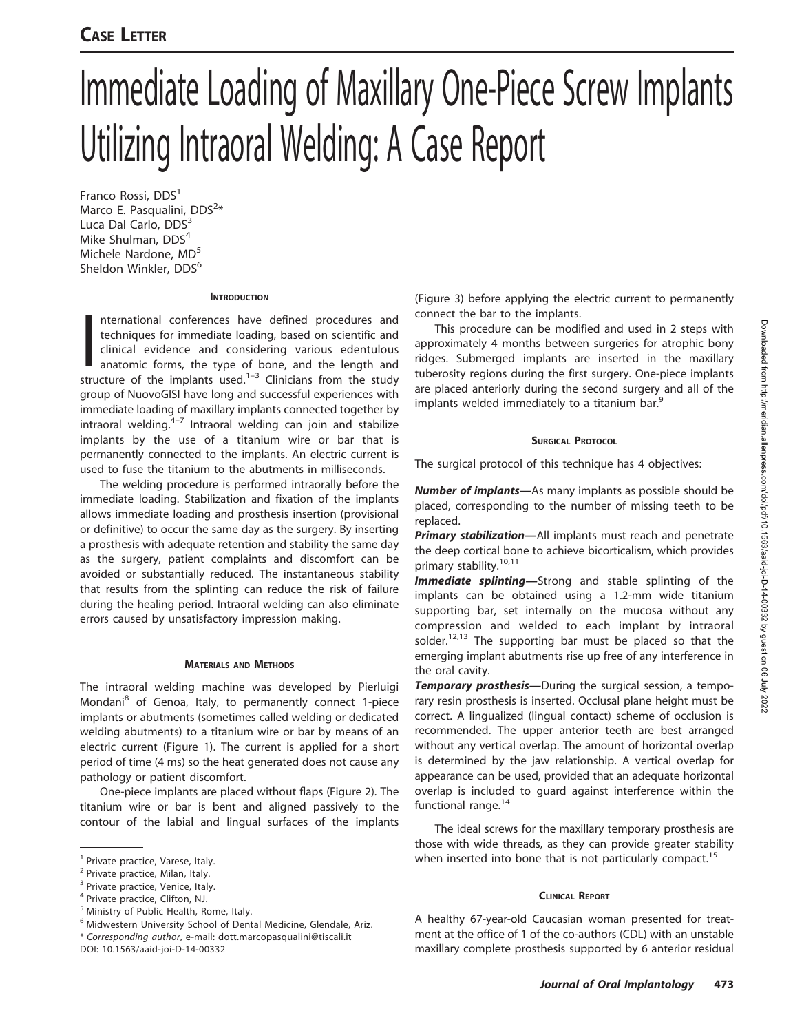# CASE LETTER

# Immediate Loading of Maxillary One-Piece Screw Implants Utilizing Intraoral Welding: A Case Report

Franco Rossi, DDS<sup>1</sup> Marco E. Pasqualini, DDS<sup>2</sup>\* Luca Dal Carlo, DDS<sup>3</sup> Mike Shulman, DDS<sup>4</sup> Michele Nardone, MD<sup>5</sup> Sheldon Winkler, DDS<sup>6</sup>

# **INTRODUCTION**

nternational conferences have defined procedures and<br>techniques for immediate loading, based on scientific and<br>clinical evidence and considering various edentulous<br>anatomic forms, the type of bone, and the length and<br>struc nternational conferences have defined procedures and techniques for immediate loading, based on scientific and clinical evidence and considering various edentulous anatomic forms, the type of bone, and the length and group of NuovoGISI have long and successful experiences with immediate loading of maxillary implants connected together by intraoral welding. $4-7$  Intraoral welding can join and stabilize implants by the use of a titanium wire or bar that is permanently connected to the implants. An electric current is used to fuse the titanium to the abutments in milliseconds.

The welding procedure is performed intraorally before the immediate loading. Stabilization and fixation of the implants allows immediate loading and prosthesis insertion (provisional or definitive) to occur the same day as the surgery. By inserting a prosthesis with adequate retention and stability the same day as the surgery, patient complaints and discomfort can be avoided or substantially reduced. The instantaneous stability that results from the splinting can reduce the risk of failure during the healing period. Intraoral welding can also eliminate errors caused by unsatisfactory impression making.

# MATERIALS AND METHODS

The intraoral welding machine was developed by Pierluigi Mondani<sup>8</sup> of Genoa, Italy, to permanently connect 1-piece implants or abutments (sometimes called welding or dedicated welding abutments) to a titanium wire or bar by means of an electric current (Figure 1). The current is applied for a short period of time (4 ms) so the heat generated does not cause any pathology or patient discomfort.

One-piece implants are placed without flaps (Figure 2). The titanium wire or bar is bent and aligned passively to the contour of the labial and lingual surfaces of the implants

\* Corresponding author, e-mail: dott.marcopasqualini@tiscali.it DOI: 10.1563/aaid-joi-D-14-00332

(Figure 3) before applying the electric current to permanently connect the bar to the implants.

This procedure can be modified and used in 2 steps with approximately 4 months between surgeries for atrophic bony ridges. Submerged implants are inserted in the maxillary tuberosity regions during the first surgery. One-piece implants are placed anteriorly during the second surgery and all of the implants welded immediately to a titanium bar.<sup>9</sup>

# SURGICAL PROTOCOL

The surgical protocol of this technique has 4 objectives:

Number of implants-As many implants as possible should be placed, corresponding to the number of missing teeth to be replaced.

Primary stabilization-All implants must reach and penetrate the deep cortical bone to achieve bicorticalism, which provides primary stability.<sup>10,11</sup>

Immediate splinting-Strong and stable splinting of the implants can be obtained using a 1.2-mm wide titanium supporting bar, set internally on the mucosa without any compression and welded to each implant by intraoral solder.<sup>12,13</sup> The supporting bar must be placed so that the emerging implant abutments rise up free of any interference in the oral cavity.

**Temporary prosthesis**—During the surgical session, a temporary resin prosthesis is inserted. Occlusal plane height must be correct. A lingualized (lingual contact) scheme of occlusion is recommended. The upper anterior teeth are best arranged without any vertical overlap. The amount of horizontal overlap is determined by the jaw relationship. A vertical overlap for appearance can be used, provided that an adequate horizontal overlap is included to guard against interference within the functional range.<sup>14</sup>

The ideal screws for the maxillary temporary prosthesis are those with wide threads, as they can provide greater stability when inserted into bone that is not particularly compact.<sup>15</sup>

# CLINICAL REPORT

A healthy 67-year-old Caucasian woman presented for treatment at the office of 1 of the co-authors (CDL) with an unstable maxillary complete prosthesis supported by 6 anterior residual

<sup>&</sup>lt;sup>1</sup> Private practice, Varese, Italy.

<sup>2</sup> Private practice, Milan, Italy.

<sup>&</sup>lt;sup>3</sup> Private practice, Venice, Italy.

<sup>4</sup> Private practice, Clifton, NJ.

<sup>5</sup> Ministry of Public Health, Rome, Italy.

<sup>6</sup> Midwestern University School of Dental Medicine, Glendale, Ariz.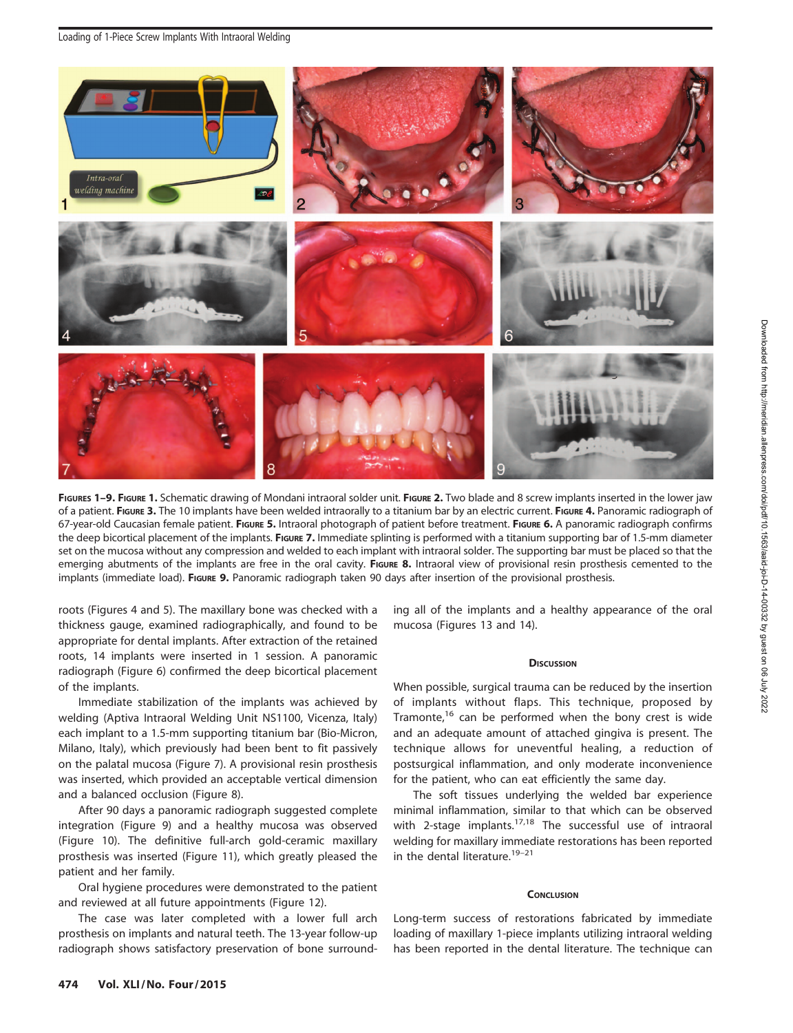

FIGURES 1-9. FIGURE 1. Schematic drawing of Mondani intraoral solder unit. FIGURE 2. Two blade and 8 screw implants inserted in the lower jaw of a patient. FIGURE 3. The 10 implants have been welded intraorally to a titanium bar by an electric current. FIGURE 4. Panoramic radiograph of 67-year-old Caucasian female patient. FIGURE 5. Intraoral photograph of patient before treatment. FIGURE 6. A panoramic radiograph confirms the deep bicortical placement of the implants. FIGURE 7. Immediate splinting is performed with a titanium supporting bar of 1.5-mm diameter set on the mucosa without any compression and welded to each implant with intraoral solder. The supporting bar must be placed so that the emerging abutments of the implants are free in the oral cavity. FIGURE 8. Intraoral view of provisional resin prosthesis cemented to the implants (immediate load). FIGURE 9. Panoramic radiograph taken 90 days after insertion of the provisional prosthesis.

roots (Figures 4 and 5). The maxillary bone was checked with a thickness gauge, examined radiographically, and found to be appropriate for dental implants. After extraction of the retained roots, 14 implants were inserted in 1 session. A panoramic radiograph (Figure 6) confirmed the deep bicortical placement of the implants.

Immediate stabilization of the implants was achieved by welding (Aptiva Intraoral Welding Unit NS1100, Vicenza, Italy) each implant to a 1.5-mm supporting titanium bar (Bio-Micron, Milano, Italy), which previously had been bent to fit passively on the palatal mucosa (Figure 7). A provisional resin prosthesis was inserted, which provided an acceptable vertical dimension and a balanced occlusion (Figure 8).

After 90 days a panoramic radiograph suggested complete integration (Figure 9) and a healthy mucosa was observed (Figure 10). The definitive full-arch gold-ceramic maxillary prosthesis was inserted (Figure 11), which greatly pleased the patient and her family.

Oral hygiene procedures were demonstrated to the patient and reviewed at all future appointments (Figure 12).

The case was later completed with a lower full arch prosthesis on implants and natural teeth. The 13-year follow-up radiograph shows satisfactory preservation of bone surrounding all of the implants and a healthy appearance of the oral mucosa (Figures 13 and 14).

# **DISCUSSION**

When possible, surgical trauma can be reduced by the insertion of implants without flaps. This technique, proposed by Tramonte,<sup>16</sup> can be performed when the bony crest is wide and an adequate amount of attached gingiva is present. The technique allows for uneventful healing, a reduction of postsurgical inflammation, and only moderate inconvenience for the patient, who can eat efficiently the same day.

The soft tissues underlying the welded bar experience minimal inflammation, similar to that which can be observed with 2-stage implants.<sup>17,18</sup> The successful use of intraoral welding for maxillary immediate restorations has been reported in the dental literature.<sup>19-21</sup>

## **CONCLUSION**

Long-term success of restorations fabricated by immediate loading of maxillary 1-piece implants utilizing intraoral welding has been reported in the dental literature. The technique can